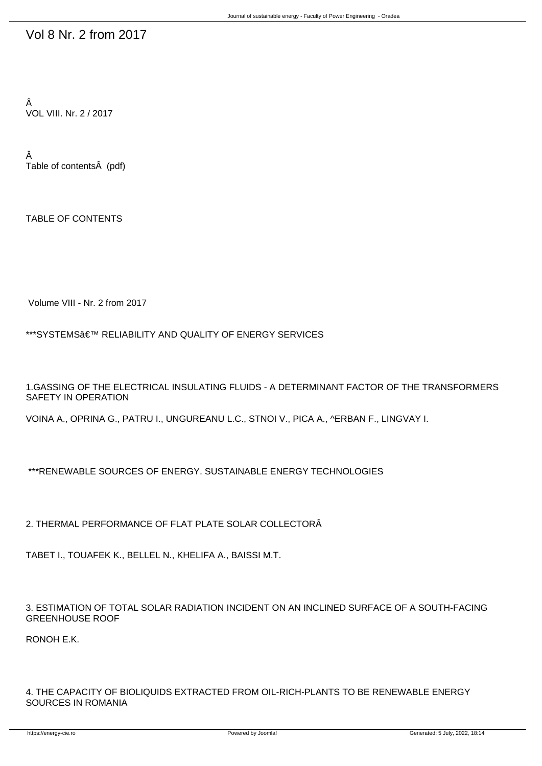## Vol 8 Nr. 2 from 2017

Â VOL VIII. Nr. 2 / 2017

Â Table of contents (pdf)

TABLE OF CONTENTS

Volume VIII - Nr. 2 from 2017

\*\*\*SYSTEMS' RELIABILITY AND QUALITY OF ENERGY SERVICES

1.GASSING OF THE ELECTRICAL INSULATING FLUIDS - A DETERMINANT FACTOR OF THE TRANSFORMERS SAFETY IN OPERATION

VOINA A., OPRINA G., PATRU I., UNGUREANU L.C., ST NOI V., PICA A., ^ERBAN F., LINGVAY I.

\*\*\*RENEWABLE SOURCES OF ENERGY. SUSTAINABLE ENERGY TECHNOLOGIES

2. THERMAL PERFORMANCE OF FLAT PLATE SOLAR COLLECTORÂ

TABET I., TOUAFEK K., BELLEL N., KHELIFA A., BAISSI M.T.

3. ESTIMATION OF TOTAL SOLAR RADIATION INCIDENT ON AN INCLINED SURFACE OF A SOUTH-FACING GREENHOUSE ROOF

RONOH E.K.

4. THE CAPACITY OF BIOLIQUIDS EXTRACTED FROM OIL-RICH-PLANTS TO BE RENEWABLE ENERGY SOURCES IN ROMANIA